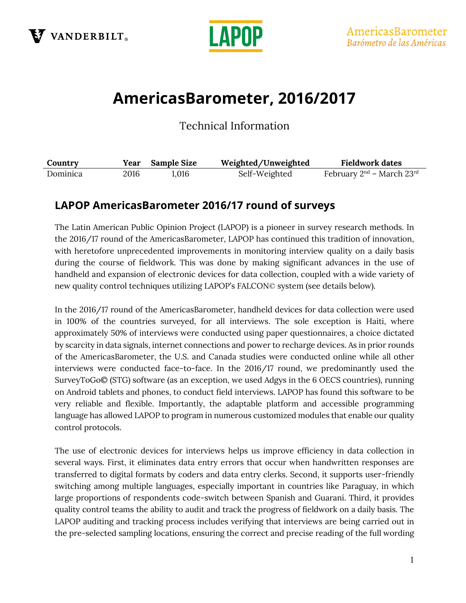



# AmericasBarometer, 2016/2017

Technical Information

| Country  | Year | <b>Sample Size</b> | Weighted/Unweighted | <b>Fieldwork dates</b>              |
|----------|------|--------------------|---------------------|-------------------------------------|
| Dominica | 2016 | 1.016              | Self-Weighted       | February $2^{nd}$ – March $23^{rd}$ |

## LAPOP AmericasBarometer 2016/17 round of surveys

The Latin American Public Opinion Project (LAPOP) is a pioneer in survey research methods. In the 2016/17 round of the AmericasBarometer, LAPOP has continued this tradition of innovation, with heretofore unprecedented improvements in monitoring interview quality on a daily basis during the course of fieldwork. This was done by making significant advances in the use of handheld and expansion of electronic devices for data collection, coupled with a wide variety of new quality control techniques utilizing LAPOP's FALCON© system (see details below).

In the 2016/17 round of the AmericasBarometer, handheld devices for data collection were used in 100% of the countries surveyed, for all interviews. The sole exception is Haiti, where approximately 50% of interviews were conducted using paper questionnaires, a choice dictated by scarcity in data signals, internet connections and power to recharge devices. As in prior rounds of the AmericasBarometer, the U.S. and Canada studies were conducted online while all other interviews were conducted face-to-face. In the 2016/17 round, we predominantly used the SurveyToGo© (STG) software (as an exception, we used Adgys in the 6 OECS countries), running on Android tablets and phones, to conduct field interviews. LAPOP has found this software to be very reliable and flexible. Importantly, the adaptable platform and accessible programming language has allowed LAPOP to program in numerous customized modules that enable our quality control protocols.

The use of electronic devices for interviews helps us improve efficiency in data collection in several ways. First, it eliminates data entry errors that occur when handwritten responses are transferred to digital formats by coders and data entry clerks. Second, it supports user-friendly switching among multiple languages, especially important in countries like Paraguay, in which large proportions of respondents code-switch between Spanish and Guaraní. Third, it provides quality control teams the ability to audit and track the progress of fieldwork on a daily basis. The LAPOP auditing and tracking process includes verifying that interviews are being carried out in the pre-selected sampling locations, ensuring the correct and precise reading of the full wording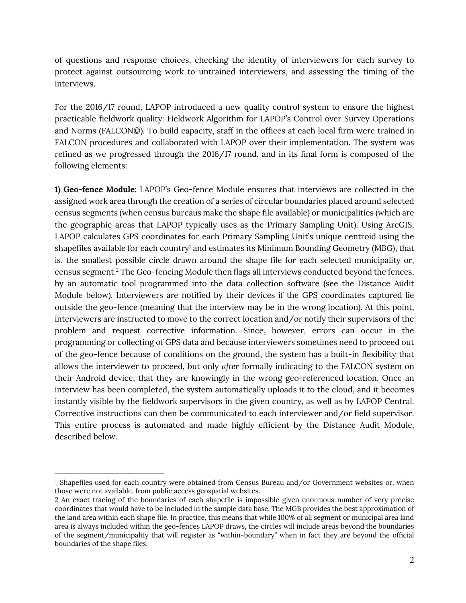of questions and response choices, checking the identity of interviewers for each survey to protect against outsourcing work to untrained interviewers, and assessing the timing of the interviews.

For the 2016/17 round, LAPOP introduced a new quality control system to ensure the highest practicable fieldwork quality: Fieldwork Algorithm for LAPOP's Control over Survey Operations and Norms (FALCON©). To build capacity, staff in the offices at each local firm were trained in FALCON procedures and collaborated with LAPOP over their implementation. The system was refined as we progressed through the 2016/17 round, and in its final form is composed of the following elements:

1) Geo-fence Module: LAPOP's Geo-fence Module ensures that interviews are collected in the assigned work area through the creation of a series of circular boundaries placed around selected census segments (when census bureaus make the shape file available) or municipalities (which are the geographic areas that LAPOP typically uses as the Primary Sampling Unit). Using ArcGIS, LAPOP calculates GPS coordinates for each Primary Sampling Unit's unique centroid using the shapefiles available for each country<sup>1</sup> and estimates its Minimum Bounding Geometry (MBG), that is, the smallest possible circle drawn around the shape file for each selected municipality or, census segment.<sup>2</sup> The Geo-fencing Module then flags all interviews conducted beyond the fences, by an automatic tool programmed into the data collection software (see the Distance Audit Module below). Interviewers are notified by their devices if the GPS coordinates captured lie outside the geo-fence (meaning that the interview may be in the wrong location). At this point, interviewers are instructed to move to the correct location and/or notify their supervisors of the problem and request corrective information. Since, however, errors can occur in the programming or collecting of GPS data and because interviewers sometimes need to proceed out of the geo-fence because of conditions on the ground, the system has a built-in flexibility that allows the interviewer to proceed, but only after formally indicating to the FALCON system on their Android device, that they are knowingly in the wrong geo-referenced location. Once an interview has been completed, the system automatically uploads it to the cloud, and it becomes instantly visible by the fieldwork supervisors in the given country, as well as by LAPOP Central. Corrective instructions can then be communicated to each interviewer and/or field supervisor. This entire process is automated and made highly efficient by the Distance Audit Module, described below.

 $<sup>1</sup>$  Shapefiles used for each country were obtained from Census Bureau and/or Government websites or, when</sup> those were not available, from public access geospatial websites.

<sup>2</sup> An exact tracing of the boundaries of each shapefile is impossible given enormous number of very precise coordinates that would have to be included in the sample data base. The MGB provides the best approximation of the land area within each shape file. In practice, this means that while 100% of all segment or municipal area land area is always included within the geo-fences LAPOP draws, the circles will include areas beyond the boundaries of the segment/municipality that will register as "within-boundary" when in fact they are beyond the official boundaries of the shape files.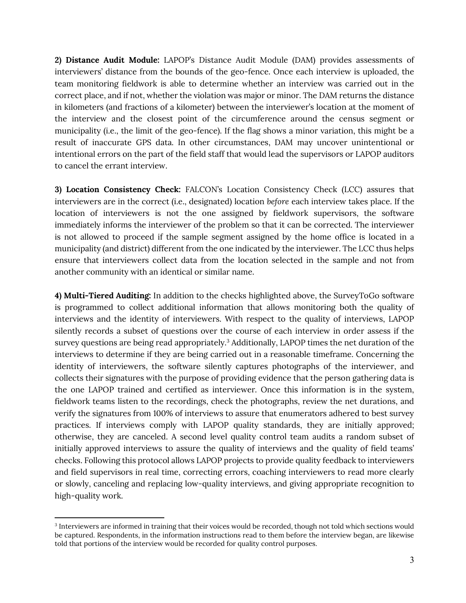2) Distance Audit Module: LAPOP's Distance Audit Module (DAM) provides assessments of interviewers' distance from the bounds of the geo-fence. Once each interview is uploaded, the team monitoring fieldwork is able to determine whether an interview was carried out in the correct place, and if not, whether the violation was major or minor. The DAM returns the distance in kilometers (and fractions of a kilometer) between the interviewer's location at the moment of the interview and the closest point of the circumference around the census segment or municipality (i.e., the limit of the geo-fence). If the flag shows a minor variation, this might be a result of inaccurate GPS data. In other circumstances, DAM may uncover unintentional or intentional errors on the part of the field staff that would lead the supervisors or LAPOP auditors to cancel the errant interview.

3) Location Consistency Check: FALCON's Location Consistency Check (LCC) assures that interviewers are in the correct (i.e., designated) location before each interview takes place. If the location of interviewers is not the one assigned by fieldwork supervisors, the software immediately informs the interviewer of the problem so that it can be corrected. The interviewer is not allowed to proceed if the sample segment assigned by the home office is located in a municipality (and district) different from the one indicated by the interviewer. The LCC thus helps ensure that interviewers collect data from the location selected in the sample and not from another community with an identical or similar name.

4) Multi-Tiered Auditing: In addition to the checks highlighted above, the SurveyToGo software is programmed to collect additional information that allows monitoring both the quality of interviews and the identity of interviewers. With respect to the quality of interviews, LAPOP silently records a subset of questions over the course of each interview in order assess if the survey questions are being read appropriately.<sup>3</sup> Additionally, LAPOP times the net duration of the interviews to determine if they are being carried out in a reasonable timeframe. Concerning the identity of interviewers, the software silently captures photographs of the interviewer, and collects their signatures with the purpose of providing evidence that the person gathering data is the one LAPOP trained and certified as interviewer. Once this information is in the system, fieldwork teams listen to the recordings, check the photographs, review the net durations, and verify the signatures from 100% of interviews to assure that enumerators adhered to best survey practices. If interviews comply with LAPOP quality standards, they are initially approved; otherwise, they are canceled. A second level quality control team audits a random subset of initially approved interviews to assure the quality of interviews and the quality of field teams' checks. Following this protocol allows LAPOP projects to provide quality feedback to interviewers and field supervisors in real time, correcting errors, coaching interviewers to read more clearly or slowly, canceling and replacing low-quality interviews, and giving appropriate recognition to high-quality work.

<sup>3</sup> Interviewers are informed in training that their voices would be recorded, though not told which sections would be captured. Respondents, in the information instructions read to them before the interview began, are likewise told that portions of the interview would be recorded for quality control purposes.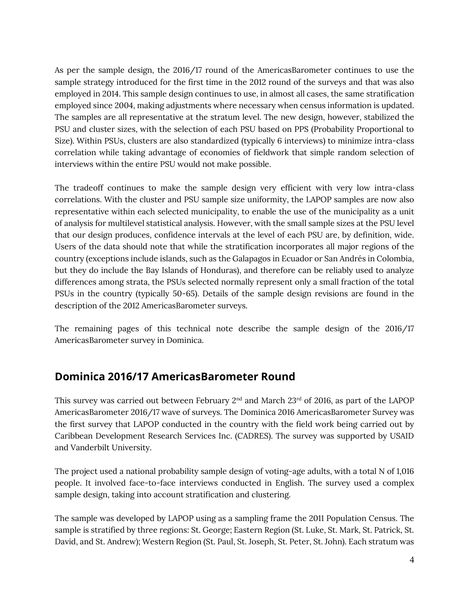As per the sample design, the 2016/17 round of the AmericasBarometer continues to use the sample strategy introduced for the first time in the 2012 round of the surveys and that was also employed in 2014. This sample design continues to use, in almost all cases, the same stratification employed since 2004, making adjustments where necessary when census information is updated. The samples are all representative at the stratum level. The new design, however, stabilized the PSU and cluster sizes, with the selection of each PSU based on PPS (Probability Proportional to Size). Within PSUs, clusters are also standardized (typically 6 interviews) to minimize intra-class correlation while taking advantage of economies of fieldwork that simple random selection of interviews within the entire PSU would not make possible.

The tradeoff continues to make the sample design very efficient with very low intra-class correlations. With the cluster and PSU sample size uniformity, the LAPOP samples are now also representative within each selected municipality, to enable the use of the municipality as a unit of analysis for multilevel statistical analysis. However, with the small sample sizes at the PSU level that our design produces, confidence intervals at the level of each PSU are, by definition, wide. Users of the data should note that while the stratification incorporates all major regions of the country (exceptions include islands, such as the Galapagos in Ecuador or San Andrés in Colombia, but they do include the Bay Islands of Honduras), and therefore can be reliably used to analyze differences among strata, the PSUs selected normally represent only a small fraction of the total PSUs in the country (typically 50-65). Details of the sample design revisions are found in the description of the 2012 AmericasBarometer surveys.

The remaining pages of this technical note describe the sample design of the 2016/17 AmericasBarometer survey in Dominica.

#### Dominica 2016/17 AmericasBarometer Round

This survey was carried out between February  $2<sup>nd</sup>$  and March 23<sup>rd</sup> of 2016, as part of the LAPOP AmericasBarometer 2016/17 wave of surveys. The Dominica 2016 AmericasBarometer Survey was the first survey that LAPOP conducted in the country with the field work being carried out by Caribbean Development Research Services Inc. (CADRES). The survey was supported by USAID and Vanderbilt University.

The project used a national probability sample design of voting-age adults, with a total N of 1,016 people. It involved face-to-face interviews conducted in English. The survey used a complex sample design, taking into account stratification and clustering.

The sample was developed by LAPOP using as a sampling frame the 2011 Population Census. The sample is stratified by three regions: St. George; Eastern Region (St. Luke, St. Mark, St. Patrick, St. David, and St. Andrew); Western Region (St. Paul, St. Joseph, St. Peter, St. John). Each stratum was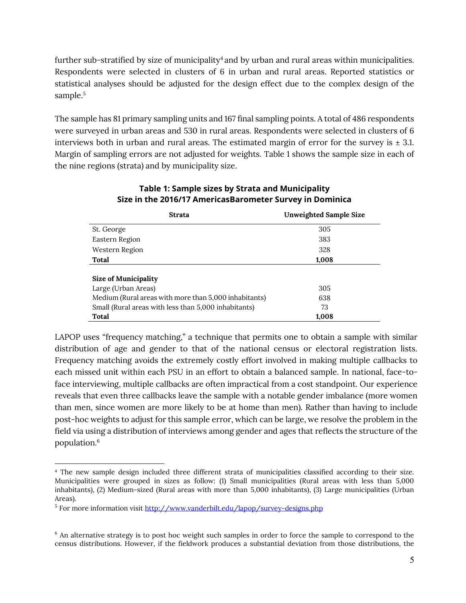further sub-stratified by size of municipality<sup>4</sup> and by urban and rural areas within municipalities. Respondents were selected in clusters of 6 in urban and rural areas. Reported statistics or statistical analyses should be adjusted for the design effect due to the complex design of the sample.<sup>5</sup>

The sample has 81 primary sampling units and 167 final sampling points. A total of 486 respondents were surveyed in urban areas and 530 in rural areas. Respondents were selected in clusters of 6 interviews both in urban and rural areas. The estimated margin of error for the survey is  $\pm$  3.1. Margin of sampling errors are not adjusted for weights. Table 1 shows the sample size in each of the nine regions (strata) and by municipality size.

| <b>Strata</b>                                         | <b>Unweighted Sample Size</b> |  |  |  |
|-------------------------------------------------------|-------------------------------|--|--|--|
| St. George                                            | 305                           |  |  |  |
| Eastern Region                                        | 383                           |  |  |  |
| Western Region                                        | 328                           |  |  |  |
| Total                                                 | 1,008                         |  |  |  |
|                                                       |                               |  |  |  |
| <b>Size of Municipality</b>                           |                               |  |  |  |
| Large (Urban Areas)                                   | 305                           |  |  |  |
| Medium (Rural areas with more than 5,000 inhabitants) | 638                           |  |  |  |
| Small (Rural areas with less than 5,000 inhabitants)  | 73                            |  |  |  |
| <b>Total</b>                                          | 1,008                         |  |  |  |

#### Table 1: Sample sizes by Strata and Municipality Size in the 2016/17 AmericasBarometer Survey in Dominica

LAPOP uses "frequency matching," a technique that permits one to obtain a sample with similar distribution of age and gender to that of the national census or electoral registration lists. Frequency matching avoids the extremely costly effort involved in making multiple callbacks to each missed unit within each PSU in an effort to obtain a balanced sample. In national, face-toface interviewing, multiple callbacks are often impractical from a cost standpoint. Our experience reveals that even three callbacks leave the sample with a notable gender imbalance (more women than men, since women are more likely to be at home than men). Rather than having to include post-hoc weights to adjust for this sample error, which can be large, we resolve the problem in the field via using a distribution of interviews among gender and ages that reflects the structure of the population.<sup>6</sup>

<sup>4</sup> The new sample design included three different strata of municipalities classified according to their size. Municipalities were grouped in sizes as follow: (1) Small municipalities (Rural areas with less than 5,000 inhabitants), (2) Medium-sized (Rural areas with more than 5,000 inhabitants), (3) Large municipalities (Urban Areas).

<sup>5</sup> For more information visit http://www.vanderbilt.edu/lapop/survey-designs.php

<sup>&</sup>lt;sup>6</sup> An alternative strategy is to post hoc weight such samples in order to force the sample to correspond to the census distributions. However, if the fieldwork produces a substantial deviation from those distributions, the